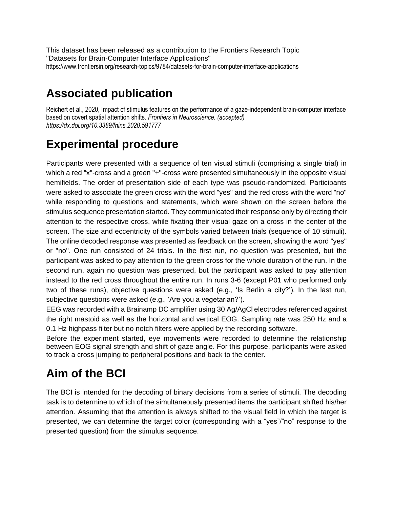This dataset has been released as a contribution to the Frontiers Research Topic "Datasets for Brain-Computer Interface Applications" [https://www.frontiersin.org/research-topics/9784/datasets-for-brain-computer-interface-applications](about:blank)

## **Associated publication**

Reichert et al., 2020, Impact of stimulus features on the performance of a gaze-independent brain-computer interface based on covert spatial attention shifts. *Frontiers in Neuroscience. (accepted) <https://dx.doi.org/10.3389/fnins.2020.591777>*

# **Experimental procedure**

Participants were presented with a sequence of ten visual stimuli (comprising a single trial) in which a red "x"-cross and a green "+"-cross were presented simultaneously in the opposite visual hemifields. The order of presentation side of each type was pseudo-randomized. Participants were asked to associate the green cross with the word "yes" and the red cross with the word "no" while responding to questions and statements, which were shown on the screen before the stimulus sequence presentation started. They communicated their response only by directing their attention to the respective cross, while fixating their visual gaze on a cross in the center of the screen. The size and eccentricity of the symbols varied between trials (sequence of 10 stimuli). The online decoded response was presented as feedback on the screen, showing the word "yes" or "no". One run consisted of 24 trials. In the first run, no question was presented, but the participant was asked to pay attention to the green cross for the whole duration of the run. In the second run, again no question was presented, but the participant was asked to pay attention instead to the red cross throughout the entire run. In runs 3-6 (except P01 who performed only two of these runs), objective questions were asked (e.g., 'Is Berlin a city?'). In the last run, subjective questions were asked (e.g., 'Are you a vegetarian?').

EEG was recorded with a Brainamp DC amplifier using 30 Ag/AgCl electrodes referenced against the right mastoid as well as the horizontal and vertical EOG. Sampling rate was 250 Hz and a 0.1 Hz highpass filter but no notch filters were applied by the recording software.

Before the experiment started, eye movements were recorded to determine the relationship between EOG signal strength and shift of gaze angle. For this purpose, participants were asked to track a cross jumping to peripheral positions and back to the center.

## **Aim of the BCI**

The BCI is intended for the decoding of binary decisions from a series of stimuli. The decoding task is to determine to which of the simultaneously presented items the participant shifted his/her attention. Assuming that the attention is always shifted to the visual field in which the target is presented, we can determine the target color (corresponding with a "yes"/"no" response to the presented question) from the stimulus sequence.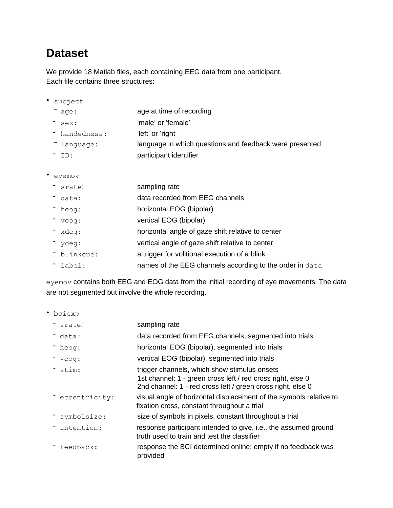#### **Dataset**

We provide 18 Matlab files, each containing EEG data from one participant. Each file contains three structures:

| · subject         |                                                         |
|-------------------|---------------------------------------------------------|
| aqe:              | age at time of recording                                |
| sex:              | 'male' or 'female'                                      |
| thandedness:      | 'left' or 'right'                                       |
| $-$ language:     | language in which questions and feedback were presented |
| $^{\text{-}}$ ID: | participant identifier                                  |
|                   |                                                         |
| evemov            |                                                         |

| srate:              | sampling rate                                            |
|---------------------|----------------------------------------------------------|
| data:               | data recorded from EEG channels                          |
| $^{\text{-}}$ heog: | horizontal EOG (bipolar)                                 |
| veog:               | vertical EOG (bipolar)                                   |
| xdeg:               | horizontal angle of gaze shift relative to center        |
| " ydeg:             | vertical angle of gaze shift relative to center          |
| blinkcue:           | a trigger for volitional execution of a blink            |
| " label:            | names of the EEG channels according to the order in data |

eyemov contains both EEG and EOG data from the initial recording of eye movements. The data are not segmented but involve the whole recording.

• bciexp

| srate: | sampling rate |
|--------|---------------|
|        |               |

- data: data recorded from EEG channels, segmented into trials
- heog: horizontal EOG (bipolar), segmented into trials
- veog: vertical EOG (bipolar), segmented into trials
- stim: trigger channels, which show stimulus onsets
	- 1st channel: 1 green cross left / red cross right, else 0 2nd channel: 1 - red cross left / green cross right, else 0
- eccentricity: visual angle of horizontal displacement of the symbols relative to fixation cross, constant throughout a trial
- symbolsize: size of symbols in pixels, constant throughout a trial
- <sup>-</sup> intention: response participant intended to give, i.e., the assumed ground truth used to train and test the classifier
- feedback: response the BCI determined online; empty if no feedback was provided